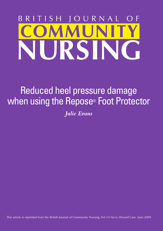# $\mathcal{S}$ RNAL RS

## Reduced heel pressure damage when using the Repose® Foot Protector

*Julie Evans*

This article is reprinted from the British Journal of Community Nursing, Vol 14 No 6, Wound Care June 2009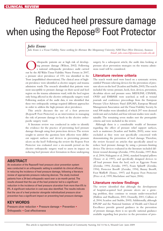# Reduced heel pressure damage when using the Repose® Foot Protector

#### *Julie Evans*

*Julie Evans is a Tissue Viability Nurse working for Abertawe Bro Morgannwg University NHS Trust (West Division), Swansea Email: julie.evans2@swansea-tr.wales.nhs.uk*

Thopaedic patients are at high risk of develop-<br>ing pressure damage (Wilson, 2002). Following<br>a national orthopaedic prevalence audit carried<br>out by the All Wales Tissue Viability Nurse Forum in 2007 ing pressure damage (Wilson, 2002). Following a national orthopaedic prevalence audit carried out by the All Wales Tissue Viability Nurse Forum in 2007, a pressure ulcer prevalence of 15% was identified in the Trust (unpublished observations). The clinical areas of highest prevalence were identified as elective surgery and trauma admission wards. The research identified that patients were most susceptible to pressure damage on their sacral and heel region on the trauma admissions ward, with the heel region only being affected in the elective orthopaedic surgery ward. Following analysis of the audit data, it was identified that these two orthopaedic settings required different approaches in order to address the high pressure ulcer prevalence.

This article discusses the use of a foot protector (Repose® Foot Protector) as an intervention in managing the risk of pressure damage to heels in the elective orthopaedic surgery ward.

A literature review was conducted in order to identify the evidence for the practice of preventing heel pressure damage through using foot protection devices. The review sought to answer the question: how effective were different support surfaces and devices in preventing pressure ulcers on the heel? Following the review the Repose Foot Protector was evaluated over a six-month period on the elective orthopaedic surgery ward to assess its impact on reducing heel pressure ulcer formation in those undergoing

#### **AbstrAct**

An evaluation of the Repose® heel pressure ulcer prevention system was conducted in an orthopaedic setting to establish its clinical efficacy in reducing the incidence of heel pressure damage, following a literature review of appropriate pressure-reducing devices. The study involved patients from a 24-bed orthopaedic ward over a six-month period. The results showed that the use of the heel protector led to a significant reduction in the incidence of heel pressure ulceration from more than 6% to 0%. A significant reduction in cost was also identified. The results indicate that the use of a heel protector alongside individualized pressure ulcer prevention has a significant impact on preventing heel pressure damage.

#### **KEY WOrDs**

Pressure ulcer reduction  $\bullet$  Pressure damage  $\bullet$  Prevention  $\bullet$ Orthopaedic • Cost effectiveness

surgery. In a subsequent article, the audit data looking at pressure ulcer prevention strategies on the trauma admissions ward will be considered.

#### **Literature review criteria**

The search words used were based on a systematic review, entitled 'Pressure relieving devices for the prevention of pressure ulcers on the heel' (Scanlon and Stubbs, 2005). The search included the terms: pressure, heels, foot, devices, prevention, decubitus ulcers and pressure sores. MEDLINE, CINAHL, OVID and EMBASE were searched, as well as wound journals and conference proceedings from the European Pressure Ulcer Advisory Panel (EPUAP), European Wound Management Association and the Tissue Viability Society. In total 308 studies were identified, of which 297 were deemed irrelevant and excluded, and four relevant studies were unobtainable. The remaining seven studies met the prerequisite criteria and were included in the review.

Although there is a considerable wealth of literature regarding the effect of pressure relief support surfaces, such as mattresses (Scanlon and Stubbs, 2005), some were excluded as they were not specifically concerned with demonstrating the prevention of heel damage. Therefore, the review focused on articles that specifically aimed to reduce heel pressure damage by using a pressure-limiting device. The devices evaluated in the literature included different wound dressings (Zernike, 1994; Zernike, 1997; Bots et al, 2004; Nakagami et al, 2006), standard hospital pillows (Tymec et al, 1997), and specifically designed devices to off load pressure from the heel, such as: Eggcrate Foam (Zernike, 1994; Zernike, 1997), Foam Splint® (Zernike, 1994), Protector Boot® (Zernike, 1994), Bunny Boot®, Foot Waffle® (Tymec, 1997) and Repose Foot Protector (Price et al, 1999; Macfarlane and Sayer, 2006).

#### **Literature review findings**

The review identified that although the development of hospital-acquired heel pressure ulcers are a growing problem, they continue to remain under-researched (Halfens and Haalboom, 2001; Donnelly, 2001; Cullum et al, 2004; Scanlon and Stubbs, 2005). Additionally, although EPUAP and the National Institute of Health and Clinical Excellence provide general guidance in the prevention of pressure damage, there is no specific national guidance available regarding best practice in the prevention of pres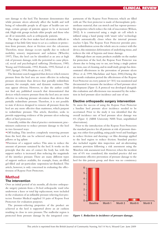sure damage to the heel. The literature demonstrates that while pressure ulcers adversely affect the health and well being of vulnerable people in all types of health-care settings, certain groups of patients appear to be at increased risk. High-risk groups include older people and those who are ill or immobile, such as orthopaedic patients.

The shape of the foot makes heel ulceration difficult to manage; it has little fatty tissue to act as a cushion or protection from pressure, shear or friction over the calcaneum. Therefore, tissue damage occurs rapidly due to reduced mobility, sensory impairment and sedation (Wheeler, 1997). Thus, the heel can be identified as an area at high risk of pressure damage, with the potential to cause physical, social and psychological suffering (Versluysen, 1985; Young and Dobrzanski, 1992; Rintala, 1995; Tortual et al, 1997; Sprigel, 1990; Hopkins et al, 2005).

The literature search suggested that devices which remove pressure from the heel area are more effective in reducing pressure ulceration than devices that partially redistribute pressure, for example, static and dynamic mattresses. This may appear obvious. However, to date the author could not find any published research that demonstrated that devices which remove pressure from the heel area are more effective in reducing pressure ulceration than devices that partially redistribute pressure. Therefore, it is not possible to state if devices designed to remove all pressure from the heel are any more effective than mattresses, which purport to redistribute pressure. This article, therefore, seeks to provide supporting evidence of the pressure ulcer reducing effect of heel protectors.

Generally, within the clinical practice environment, practitioners endeavour to reduce pressure damage to the heel in two favoured ways:

wOff-loading. This involves completely removing pressure from the heel, this can be achieved using devices such as pillows or leg splints

 $\bullet$ Provision of a support surface. This aims to reduce the amount of pressure sustained by the heel. It works on the principle that the area of contact the body has with the support surface is increased, thus reducing the magnitude of the interface pressure. There are many different types of support surfaces available, for example, foam, air-filled, gel-filled and air-particulate suspension/air-fluidized. This article, however, is only concerned in evaluating the effectiveness of Repose Foot Protectors.

#### **Method the intervention**

Over an initial period of six months, all elective orthopaedic surgery patients from a 24-bed orthopaedic ward who underwent a knee or total hip replacement, were included in the evaluation of an inflatable pressure relieving foot protector. Frontier Medical supplied 10 pairs of Repose Foot Protectors for evaluation purposes.

The pressure-relieving properties of the product are achieved as the heel is supported above an air cushion resulting in close to zero pressure. The malleolar region is protected from pressure damage by the integrated compartments of the Repose Foot Protector, which are filled with air. The foot protector is made of thermoplastic polyurethane material, that can stretch and has vapour-permeable properties which reduce the risk of maceration (Wilson, 2002). It is constructed using a single air cell which is inflated using a hand pump with 'smart valve' technology which automatically closes when the internal pressure reaches 0.2psi. The Repose Foot Protector provides pressure redistribution across the whole area in contact with the device, this minimises deformation of underlying tissue, and reduces the risk of hypoxia and tissue damage.

Although there are many products available on the market for protection of the heel, the Repose Foot Protector was chosen due to being easy to use, not being a single patient use item, ease of cleaning, and in small study groups has demonstrated effectiveness in the prevention of pressure ulcers (Price et al, 1999; Macfarlane and Sayer, 2006).During the six month evaluation period the effectiveness of the Repose Foot Protector on every patient (n= 501) was monitored and documented to measure the incidence of heel pressure ulcer development (*Figure 1*). A protocol was developed alongside this evaluation and effectiveness was measured by the reduction in heel pressure ulcer incidence and ease of use.

#### **Elective orthopaedic surgery intervention**

To assess the success of using the Repose Foot Protector a baseline heel pressure ulcer incidence needed to be ascertained. Prior to the study it was identified that the overall incidence rate of heel pressure ulcer damage was 6% (*Figure 1*) (ABM University NHS Trust, unpublished observations).

Prior to the introduction of the Repose Foot Protectors the standard practice for all patients at risk of pressure damage, was either foot padding, using pads/wool and bandages to reduce friction and shearing—or film dressings applied to the heel region to reduce friction. Standard practice also included regular skin inspection and air-alternating mattress provision following a risk assessment using the Waterlow risk assessment tool. However, when the incident rate of 6% was considered, this standard practice did not demonstrate effective prevention of pressure damage to the heel for this patient group, and there was no consistency



*Figure 1. Reduction in incidence of pressure damage.*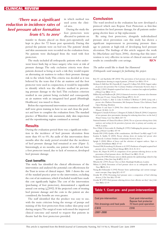### *'There was a significant reduction in incidence rates of heel pressure ulcer formation from 6% to zero'*

in which method was used across the clinical area.

During the study the foot protectors were allocated to patients on

transfer to theatre, placed on them peri-operatively and kept in place for 72 hours post operatively. During this period the patients were on bed rest. The patients' details and skin assessments were recorded on the evaluation form. No patients were discharged from the ward with foot protectors.

The study included all orthopaedic patients who underwent lower limb, hip or knee surgery who were at risk of pressure damage. The only exclusion criteria were those patients deemed as being at such a risk they would require an alternating air mattress to reduce their pressure damage risk to the whole body. This criteria was decided as it was believed by the team that if the air mattress and the foot protector were used in conjunction, it would be impossible to identify which was the effective method in preventing pressure damage to the heel. This exclusion criterion resulted in one patient being excluded and consequently an air mattress with an integrated heel guard (Huntleigh Healthcare) was issued to them.

Before the experimental intervention commenced, all ward staff were given training in how to use and clean the product and how to complete the evaluation form. The standard practice of Waterlow risk assessment, daily skin inspections and the repositioning regime continued as normal.

#### **results**

During the evaluation period there was a significant reduction in the incidence of heel pressure ulceration from more than 6% to 0%. An audit of this intervention three months after the study period revealed that the incidence of heel pressure damage had remained at zero (*Figure 1*). Interestingly, at six months, one patient who did not have a foot protector issued, due to lack of resources, developed heel pressure damage.

#### **cost benefits**

This study has identified the clinical effectiveness of the intervention and analysed the potential cost effectiveness for the Trust in terms of clinical impact. *Table 1* shows the cost of the standard practice prior to the intervention, excluding the cost of air mattresses, which if included would have made this cost significantly higher. The cost of the intervention (purchasing of foot protectors), demonstrated a significant annual cost saving  $(\text{\textsterling}2092)$ . If the projected costs of treating heel pressure damage and the costs to the patient are also considered, the benefits are even greater.

The staff identified that the product was easy to use, with the main criticism being the storage of pumps and staining of the foot protectors from iodine skin-prep used during surgery. The surgical team welcomed the improved clinical outcome and started to request that patients in theatre had the foot protectors provided.

#### **conclusion**

The ward involved in the evaluation has now developed a protocol which uses Repose Foot Protectors as first-line prevention for heel pressure damage, for all patients undergoing elective knee or hip replacement.

By using foot protectors, alongside individualized pressure ulcer prevention care this study has shown a significant improvement in preventing pressure damage to patients at high-risk of developing heel pressure ulceration. The findings of this article support the work by (Macfarlane and Sayer, 2006), showing that this intervention is very effective in terms of clinical outcome and results in considerable cost savings. **BJCN**

#### *The author would like to thank Sue Hammond (Orthopaedic ward manager) for facilitating this project.*

- Bots TC and Apotheker BF (2004) 'The prevention of heel pressure ulcers using a hydropolymer dressing in surgical patients'. *J Wound Care* **13**(9): 375–8
- McInnes E, Bell-Syer SE, Dumville JC, Legood T, Cullum NA (2004) *Support surfaces for pressure ulcer prevention*. The Cochrane Database of Systematic Reviews. Issue 3. Donnelly J (2001) Hospital-acquired heel ulcers: a common but neglected problem. *J Wound Care* **10**(4): 131–6
- Halfens RJ and Haalboom JR (2001) A historical overview of pressure ulcer literature of the past 35 years. *Ostomy Wound Manage* **47**(11): 36–43
- Hopkins A, Dealey C, Bale S, Colin D, Defloor T, Worboys F (2005) *Living with a pressure ulcer*. Platform Presentation, 8th European Pressure Ulcer Advisory Panel Open Meeting. Aberdeen
- Macfarlane A and Sayer S (2006) Two clinical evaluations of the Repose system. *Wounds UK* **2**(3): 14–25
- Nakagami G, Sanada H, Konya C, Kitagawa A, Tadaka E, Tabata K (2006) Comparison of two pressure ulcer preventative dressings for reducing shear force on the heel. *J Wound Ostomy Cont Nurs* **33**(3): 267–72
- National Institute of Clinical Excellence (2004) *The use of pressure-relieving devices (beds, mattresses and overlays) for the prevention of pressure ulcers in primary and secondary care.* NICE, London
- Price P, Bale S, Newcombe R, Harding K (1999) Challenging the pressure sore paradigm. *J Wound Care* **8**(4): 187–90
- Rintala DH (1995) Quality of life considerations. *Adv Wound Care* **8**(4): suppl 71–83 Scanlon E, Stubbs N (2005) *Pressure relieving devices for treating heel pressure ulcers* (Protocol). Cochrane Database of Systematic Reviews. Issue 4.
- Sprigle S (2000) Effects of forces and the selection of support surfaces. *Topics in Geriatric Rehabilitation* **16**(2): 47–62
- Tourtual DM, Reisenberg LA, Korutz et al (1997) Predictors of hospital acquired heel pressure ulcers. *Ostomy Wound Manage* **43**(9): 24-8, 30, 32–4
- Tymec AC, Pieper B (1997) A comparison of two pressure-relieving devices on the prevention of heel pressure ulcers. *Adv Wound Care* **10**(1): 39–44
- Versluysen M (1985) Pressure sores in elderly patients: the epidemiology related to hip operations. *J Bone Joint Surg Br* **67**(1): 10–13
- Wheeler AC (1997) *Pressure Ulcers on Heels*. Huntleigh Healthcare, London
- Wilson A (2002) Prevention of heel pressure ulcers in an orthopaedic unit. *Nurs Times* **98**(25): 53–4
- Young JB, Dobrzanski S (1992) Pressure Sores: epidemiology and current management concepts. *Drugs Aging* **2**(1): 42–57
- Zernike W (1994) Preventing heel pressure sores: a comparison of heel relieving devices. *J Clin Nurs* **3**(6): 375–80

Zernike W (1997) Heel pressure relieving devices: how effective are they? *Aust J Adv Nurs* **14**(4): 12–19

|  |  | Table 1. Cost pre- and post-intervention |
|--|--|------------------------------------------|
|  |  |                                          |

| Cost post-intervention:<br>Repose foot protector |
|--------------------------------------------------|
| 72 hours post operation                          |
| £918                                             |
|                                                  |
|                                                  |